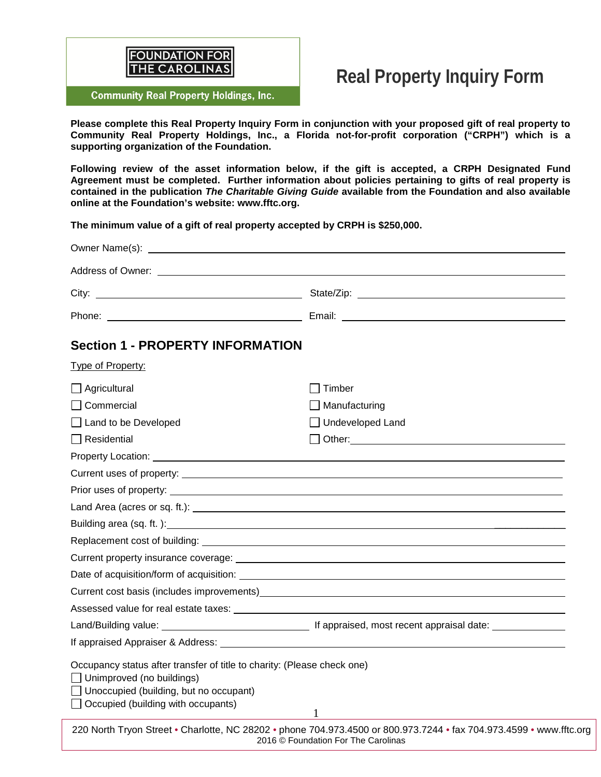

# **Real Property Inquiry Form**

**Community Real Property Holdings, Inc.** 

**Please complete this Real Property Inquiry Form in conjunction with your proposed gift of real property to Community Real Property Holdings, Inc., a Florida not-for-profit corporation ("CRPH") which is a supporting organization of the Foundation.** 

**Following review of the asset information below, if the gift is accepted, a CRPH Designated Fund Agreement must be completed. Further information about policies pertaining to gifts of real property is contained in the publication** *The Charitable Giving Guide* **available from the Foundation and also available online at the Foundation's website: www.fftc.org.** 

**The minimum value of a gift of real property accepted by CRPH is \$250,000.** 

| Phone: <u>New York: New York: New York: New York: New York: New York: New York: New York: New York: New York: New York: New York: New York: New York: New York: New York: New York: New York: New York: New York: New York: New </u><br><b>Section 1 - PROPERTY INFORMATION</b><br>Type of Property:<br>$\Box$ Agricultural<br>Timber<br>$\Box$ Commercial<br>Manufacturing<br>Undeveloped Land<br>□ Land to be Developed<br>$\Box$ Residential<br>Building area (sq. ft.): <u>contract and contract and contract and contract and contract and contract and contract and contract and contract and contract and contract and contract and contract and contract and contract and c</u><br>Current property insurance coverage: example and the contract of the contract of the contract of the contract of the contract of the contract of the contract of the contract of the contract of the contract of the contract<br>Assessed value for real estate taxes: example and a series of the series of the series of the series of the series of the series of the series of the series of the series of the series of the series of the series of the se<br>If appraised Appraiser & Address: Letter and the control of the control of the control of the control of the control of the control of the control of the control of the control of the control of the control of the control | Owner Name(s): example and a series of the series of the series of the series of the series of the series of the series of the series of the series of the series of the series of the series of the series of the series of t |
|---------------------------------------------------------------------------------------------------------------------------------------------------------------------------------------------------------------------------------------------------------------------------------------------------------------------------------------------------------------------------------------------------------------------------------------------------------------------------------------------------------------------------------------------------------------------------------------------------------------------------------------------------------------------------------------------------------------------------------------------------------------------------------------------------------------------------------------------------------------------------------------------------------------------------------------------------------------------------------------------------------------------------------------------------------------------------------------------------------------------------------------------------------------------------------------------------------------------------------------------------------------------------------------------------------------------------------------------------------------------------------------------|--------------------------------------------------------------------------------------------------------------------------------------------------------------------------------------------------------------------------------|
|                                                                                                                                                                                                                                                                                                                                                                                                                                                                                                                                                                                                                                                                                                                                                                                                                                                                                                                                                                                                                                                                                                                                                                                                                                                                                                                                                                                             |                                                                                                                                                                                                                                |
|                                                                                                                                                                                                                                                                                                                                                                                                                                                                                                                                                                                                                                                                                                                                                                                                                                                                                                                                                                                                                                                                                                                                                                                                                                                                                                                                                                                             |                                                                                                                                                                                                                                |
|                                                                                                                                                                                                                                                                                                                                                                                                                                                                                                                                                                                                                                                                                                                                                                                                                                                                                                                                                                                                                                                                                                                                                                                                                                                                                                                                                                                             |                                                                                                                                                                                                                                |
|                                                                                                                                                                                                                                                                                                                                                                                                                                                                                                                                                                                                                                                                                                                                                                                                                                                                                                                                                                                                                                                                                                                                                                                                                                                                                                                                                                                             |                                                                                                                                                                                                                                |
|                                                                                                                                                                                                                                                                                                                                                                                                                                                                                                                                                                                                                                                                                                                                                                                                                                                                                                                                                                                                                                                                                                                                                                                                                                                                                                                                                                                             |                                                                                                                                                                                                                                |
|                                                                                                                                                                                                                                                                                                                                                                                                                                                                                                                                                                                                                                                                                                                                                                                                                                                                                                                                                                                                                                                                                                                                                                                                                                                                                                                                                                                             |                                                                                                                                                                                                                                |
|                                                                                                                                                                                                                                                                                                                                                                                                                                                                                                                                                                                                                                                                                                                                                                                                                                                                                                                                                                                                                                                                                                                                                                                                                                                                                                                                                                                             |                                                                                                                                                                                                                                |
|                                                                                                                                                                                                                                                                                                                                                                                                                                                                                                                                                                                                                                                                                                                                                                                                                                                                                                                                                                                                                                                                                                                                                                                                                                                                                                                                                                                             |                                                                                                                                                                                                                                |
|                                                                                                                                                                                                                                                                                                                                                                                                                                                                                                                                                                                                                                                                                                                                                                                                                                                                                                                                                                                                                                                                                                                                                                                                                                                                                                                                                                                             | $\Box$ Other: $\Box$                                                                                                                                                                                                           |
|                                                                                                                                                                                                                                                                                                                                                                                                                                                                                                                                                                                                                                                                                                                                                                                                                                                                                                                                                                                                                                                                                                                                                                                                                                                                                                                                                                                             |                                                                                                                                                                                                                                |
|                                                                                                                                                                                                                                                                                                                                                                                                                                                                                                                                                                                                                                                                                                                                                                                                                                                                                                                                                                                                                                                                                                                                                                                                                                                                                                                                                                                             |                                                                                                                                                                                                                                |
|                                                                                                                                                                                                                                                                                                                                                                                                                                                                                                                                                                                                                                                                                                                                                                                                                                                                                                                                                                                                                                                                                                                                                                                                                                                                                                                                                                                             |                                                                                                                                                                                                                                |
|                                                                                                                                                                                                                                                                                                                                                                                                                                                                                                                                                                                                                                                                                                                                                                                                                                                                                                                                                                                                                                                                                                                                                                                                                                                                                                                                                                                             |                                                                                                                                                                                                                                |
|                                                                                                                                                                                                                                                                                                                                                                                                                                                                                                                                                                                                                                                                                                                                                                                                                                                                                                                                                                                                                                                                                                                                                                                                                                                                                                                                                                                             |                                                                                                                                                                                                                                |
|                                                                                                                                                                                                                                                                                                                                                                                                                                                                                                                                                                                                                                                                                                                                                                                                                                                                                                                                                                                                                                                                                                                                                                                                                                                                                                                                                                                             |                                                                                                                                                                                                                                |
|                                                                                                                                                                                                                                                                                                                                                                                                                                                                                                                                                                                                                                                                                                                                                                                                                                                                                                                                                                                                                                                                                                                                                                                                                                                                                                                                                                                             |                                                                                                                                                                                                                                |
|                                                                                                                                                                                                                                                                                                                                                                                                                                                                                                                                                                                                                                                                                                                                                                                                                                                                                                                                                                                                                                                                                                                                                                                                                                                                                                                                                                                             |                                                                                                                                                                                                                                |
|                                                                                                                                                                                                                                                                                                                                                                                                                                                                                                                                                                                                                                                                                                                                                                                                                                                                                                                                                                                                                                                                                                                                                                                                                                                                                                                                                                                             |                                                                                                                                                                                                                                |
|                                                                                                                                                                                                                                                                                                                                                                                                                                                                                                                                                                                                                                                                                                                                                                                                                                                                                                                                                                                                                                                                                                                                                                                                                                                                                                                                                                                             |                                                                                                                                                                                                                                |
|                                                                                                                                                                                                                                                                                                                                                                                                                                                                                                                                                                                                                                                                                                                                                                                                                                                                                                                                                                                                                                                                                                                                                                                                                                                                                                                                                                                             |                                                                                                                                                                                                                                |
|                                                                                                                                                                                                                                                                                                                                                                                                                                                                                                                                                                                                                                                                                                                                                                                                                                                                                                                                                                                                                                                                                                                                                                                                                                                                                                                                                                                             |                                                                                                                                                                                                                                |
| Occupancy status after transfer of title to charity: (Please check one)<br>$\Box$ Unimproved (no buildings)<br>$\Box$ Unoccupied (building, but no occupant)<br>$\Box$ Occupied (building with occupants)                                                                                                                                                                                                                                                                                                                                                                                                                                                                                                                                                                                                                                                                                                                                                                                                                                                                                                                                                                                                                                                                                                                                                                                   |                                                                                                                                                                                                                                |
| $\mathbf{1}$<br>220 North Tryon Street . Charlotte, NC 28202 . phone 704.973.4500 or 800.973.7244 . fax 704.973.4599 . www.fftc.org                                                                                                                                                                                                                                                                                                                                                                                                                                                                                                                                                                                                                                                                                                                                                                                                                                                                                                                                                                                                                                                                                                                                                                                                                                                         |                                                                                                                                                                                                                                |

2016 © Foundation For The Carolinas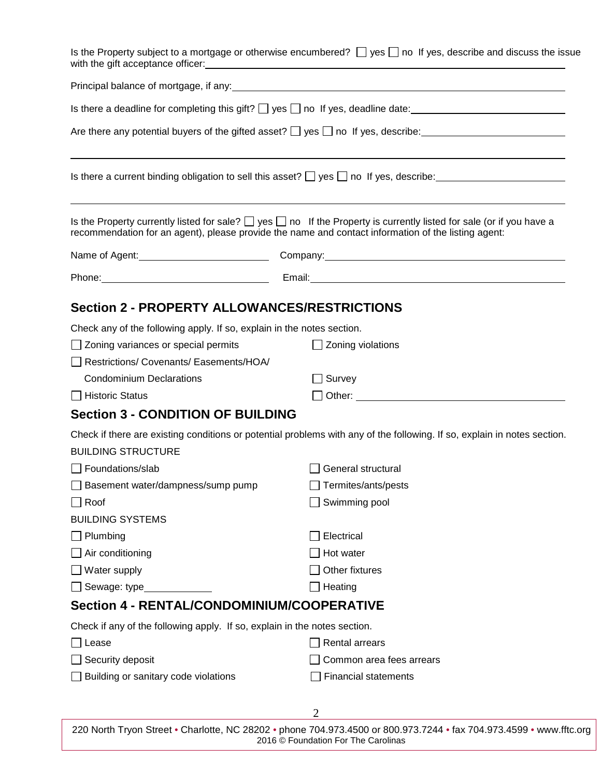|                                                                                                                               | Is the Property subject to a mortgage or otherwise encumbered? $\Box$ yes $\Box$ no If yes, describe and discuss the issue                                                                                                            |  |  |  |  |  |
|-------------------------------------------------------------------------------------------------------------------------------|---------------------------------------------------------------------------------------------------------------------------------------------------------------------------------------------------------------------------------------|--|--|--|--|--|
|                                                                                                                               |                                                                                                                                                                                                                                       |  |  |  |  |  |
|                                                                                                                               | Is there a deadline for completing this gift? $\Box$ yes $\Box$ no If yes, deadline date: $\Box$                                                                                                                                      |  |  |  |  |  |
|                                                                                                                               |                                                                                                                                                                                                                                       |  |  |  |  |  |
|                                                                                                                               | Is there a current binding obligation to sell this asset? $\Box$ yes $\Box$ no If yes, describe:                                                                                                                                      |  |  |  |  |  |
|                                                                                                                               | Is the Property currently listed for sale? $\Box$ yes $\Box$ no If the Property is currently listed for sale (or if you have a<br>recommendation for an agent), please provide the name and contact information of the listing agent: |  |  |  |  |  |
|                                                                                                                               |                                                                                                                                                                                                                                       |  |  |  |  |  |
|                                                                                                                               | Phone: Phone: Phone: Phone: Phone: Phone: Phone: Phone: Phone: Phone: Phone: Phone: Phone: Phone: Phone: Phone: Phone: Phone: Phone: Phone: Phone: Phone: Phone: Phone: Phone: Phone: Phone: Phone: Phone: Phone: Phone: Phone        |  |  |  |  |  |
| <b>Section 2 - PROPERTY ALLOWANCES/RESTRICTIONS</b><br>Check any of the following apply. If so, explain in the notes section. |                                                                                                                                                                                                                                       |  |  |  |  |  |
| $\Box$ Zoning variances or special permits                                                                                    | $\Box$ Zoning violations                                                                                                                                                                                                              |  |  |  |  |  |
| Restrictions/Covenants/Easements/HOA/                                                                                         |                                                                                                                                                                                                                                       |  |  |  |  |  |
| <b>Condominium Declarations</b>                                                                                               | $\Box$ Survey                                                                                                                                                                                                                         |  |  |  |  |  |
| $\Box$ Historic Status                                                                                                        |                                                                                                                                                                                                                                       |  |  |  |  |  |
| <b>Section 3 - CONDITION OF BUILDING</b>                                                                                      |                                                                                                                                                                                                                                       |  |  |  |  |  |
|                                                                                                                               | Check if there are existing conditions or potential problems with any of the following. If so, explain in notes section.                                                                                                              |  |  |  |  |  |
| <b>BUILDING STRUCTURE</b>                                                                                                     |                                                                                                                                                                                                                                       |  |  |  |  |  |
| Foundations/slab                                                                                                              | General structural                                                                                                                                                                                                                    |  |  |  |  |  |
| Basement water/dampness/sump pump                                                                                             | Termites/ants/pests                                                                                                                                                                                                                   |  |  |  |  |  |
| $\sqcap$ Roof                                                                                                                 | Swimming pool                                                                                                                                                                                                                         |  |  |  |  |  |
| <b>BUILDING SYSTEMS</b>                                                                                                       |                                                                                                                                                                                                                                       |  |  |  |  |  |
| $\Box$ Plumbing                                                                                                               | Electrical                                                                                                                                                                                                                            |  |  |  |  |  |
| $\Box$ Air conditioning                                                                                                       | Hot water                                                                                                                                                                                                                             |  |  |  |  |  |
| $\Box$ Water supply                                                                                                           | Other fixtures                                                                                                                                                                                                                        |  |  |  |  |  |
| $\Box$ Sewage: type                                                                                                           | Heating                                                                                                                                                                                                                               |  |  |  |  |  |
| Section 4 - RENTAL/CONDOMINIUM/COOPERATIVE                                                                                    |                                                                                                                                                                                                                                       |  |  |  |  |  |
| Check if any of the following apply. If so, explain in the notes section.                                                     |                                                                                                                                                                                                                                       |  |  |  |  |  |
| ∏ Lease                                                                                                                       | <b>Rental arrears</b>                                                                                                                                                                                                                 |  |  |  |  |  |
| Security deposit                                                                                                              | Common area fees arrears                                                                                                                                                                                                              |  |  |  |  |  |
| $\Box$ Building or sanitary code violations                                                                                   | <b>Financial statements</b>                                                                                                                                                                                                           |  |  |  |  |  |
|                                                                                                                               | 2                                                                                                                                                                                                                                     |  |  |  |  |  |

220 North Tryon Street • Charlotte, NC 28202 • phone 704.973.4500 or 800.973.7244 • fax 704.973.4599 • www.fftc.org 2016 © Foundation For The Carolinas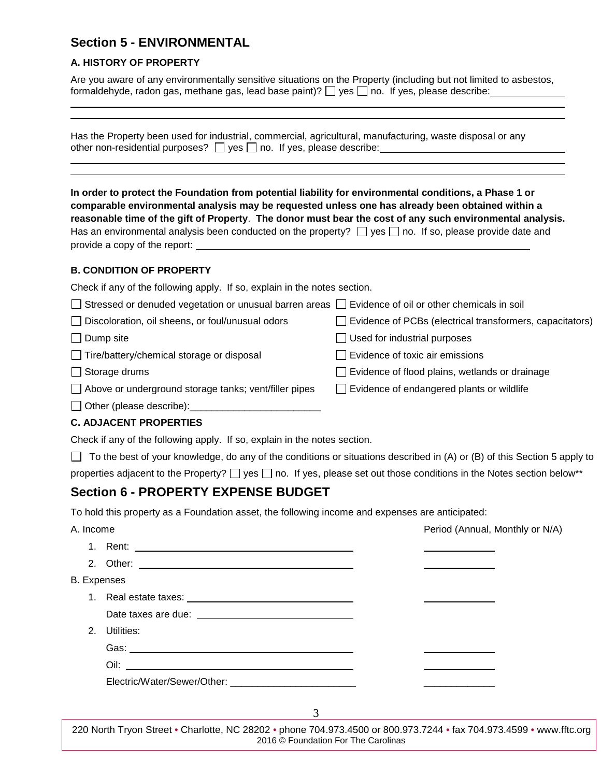## **Section 5 - ENVIRONMENTAL**

#### **A. HISTORY OF PROPERTY**

Are you aware of any environmentally sensitive situations on the Property (including but not limited to asbestos, formaldehyde, radon gas, methane gas, lead base paint)?  $\Box$  yes  $\Box$  no. If yes, please describe:

| Has the Property been used for industrial, commercial, agricultural, manufacturing, waste disposal or any |  |
|-----------------------------------------------------------------------------------------------------------|--|
| other non-residential purposes? $\Box$ yes $\Box$ no. If yes, please describe:                            |  |

**In order to protect the Foundation from potential liability for environmental conditions, a Phase 1 or comparable environmental analysis may be requested unless one has already been obtained within a reasonable time of the gift of Property**. **The donor must bear the cost of any such environmental analysis.** Has an environmental analysis been conducted on the property?  $\Box$  yes  $\Box$  no. If so, please provide date and provide a copy of the report:

#### **B. CONDITION OF PROPERTY**

Check if any of the following apply. If so, explain in the notes section.

| □ Stressed or denuded vegetation or unusual barren areas □ Evidence of oil or other chemicals in soil |                                                                 |
|-------------------------------------------------------------------------------------------------------|-----------------------------------------------------------------|
| Discoloration, oil sheens, or foul/unusual odors                                                      | $\Box$ Evidence of PCBs (electrical transformers, capacitators) |
| $\Box$ Dump site                                                                                      | $\Box$ Used for industrial purposes                             |
| Tire/battery/chemical storage or disposal                                                             | $\Box$ Evidence of toxic air emissions                          |
| □ Storage drums                                                                                       | Evidence of flood plains, wetlands or drainage                  |

 $\Box$  Evidence of endangered plants or wildlife

- $\Box$  Storage drums
- $\Box$  Above or underground storage tanks; vent/filler pipes
- $\Box$  Other (please describe):

#### **C. ADJACENT PROPERTIES**

Check if any of the following apply. If so, explain in the notes section.

 $\Box$  To the best of your knowledge, do any of the conditions or situations described in (A) or (B) of this Section 5 apply to

properties adjacent to the Property?  $\Box$  yes  $\Box$  no. If yes, please set out those conditions in the Notes section below\*\*

### **Section 6 - PROPERTY EXPENSE BUDGET**

To hold this property as a Foundation asset, the following income and expenses are anticipated:

| A. Income          |            | Period (Annual, Monthly or N/A) |
|--------------------|------------|---------------------------------|
|                    |            |                                 |
|                    |            |                                 |
| <b>B.</b> Expenses |            |                                 |
|                    |            |                                 |
|                    |            |                                 |
| 2 <sub>1</sub>     | Utilities: |                                 |
|                    |            |                                 |
|                    |            |                                 |
|                    |            |                                 |
|                    |            |                                 |
|                    | 3          |                                 |

220 North Tryon Street • Charlotte, NC 28202 • phone 704.973.4500 or 800.973.7244 • fax 704.973.4599 • www.fftc.org 2016 © Foundation For The Carolinas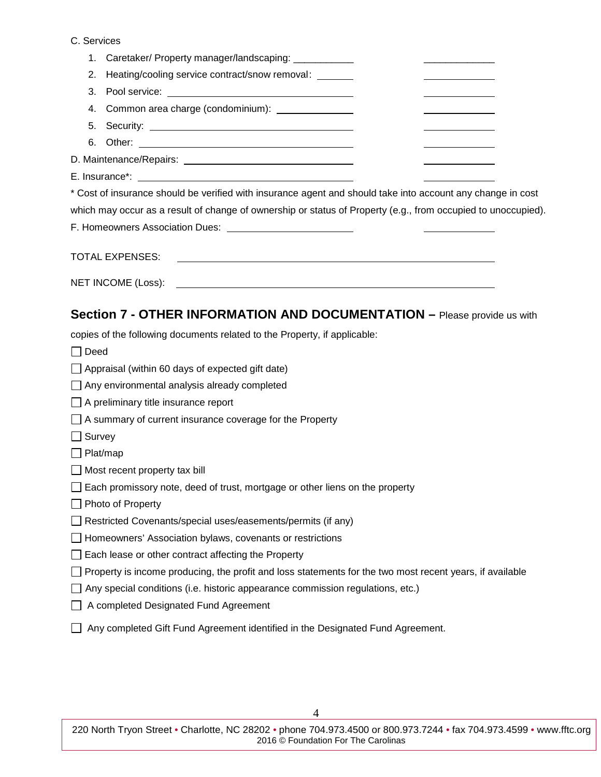#### C. Services

| 1.          | Caretaker/ Property manager/landscaping: ___________                                                                                                                                                                           |  |
|-------------|--------------------------------------------------------------------------------------------------------------------------------------------------------------------------------------------------------------------------------|--|
| 2.          | Heating/cooling service contract/snow removal:<br>the control of the control of the control of                                                                                                                                 |  |
| 3.          | Pool service: New York Contract Contract Contract Contract Contract Contract Contract Contract Contract Contract Contract Contract Contract Contract Contract Contract Contract Contract Contract Contract Contract Contract C |  |
| 4.          | Common area charge (condominium): _______________                                                                                                                                                                              |  |
|             |                                                                                                                                                                                                                                |  |
|             |                                                                                                                                                                                                                                |  |
|             |                                                                                                                                                                                                                                |  |
|             |                                                                                                                                                                                                                                |  |
|             | * Cost of insurance should be verified with insurance agent and should take into account any change in cost                                                                                                                    |  |
|             | which may occur as a result of change of ownership or status of Property (e.g., from occupied to unoccupied).                                                                                                                  |  |
|             |                                                                                                                                                                                                                                |  |
|             | <b>TOTAL EXPENSES:</b><br><u> 1989 - Johann Harry Harry Harry Harry Harry Harry Harry Harry Harry Harry Harry Harry Harry Harry Harry Harry</u>                                                                                |  |
|             |                                                                                                                                                                                                                                |  |
|             | Section 7 - OTHER INFORMATION AND DOCUMENTATION - Please provide us with                                                                                                                                                       |  |
|             | copies of the following documents related to the Property, if applicable:                                                                                                                                                      |  |
| $\Box$ Deed |                                                                                                                                                                                                                                |  |
|             | $\Box$ Appraisal (within 60 days of expected gift date)                                                                                                                                                                        |  |
|             | $\Box$ Any environmental analysis already completed                                                                                                                                                                            |  |
|             |                                                                                                                                                                                                                                |  |

- $\Box$  A preliminary title insurance report
- A summary of current insurance coverage for the Property
- $\Box$  Survey
- $\Box$  Plat/map
- $\Box$  Most recent property tax bill
- Each promissory note, deed of trust, mortgage or other liens on the property
- Photo of Property
- □ Restricted Covenants/special uses/easements/permits (if any)
- Homeowners' Association bylaws, covenants or restrictions
- Each lease or other contract affecting the Property
- $\Box$  Property is income producing, the profit and loss statements for the two most recent years, if available
- $\Box$  Any special conditions (i.e. historic appearance commission regulations, etc.)
- □ A completed Designated Fund Agreement
- Any completed Gift Fund Agreement identified in the Designated Fund Agreement.